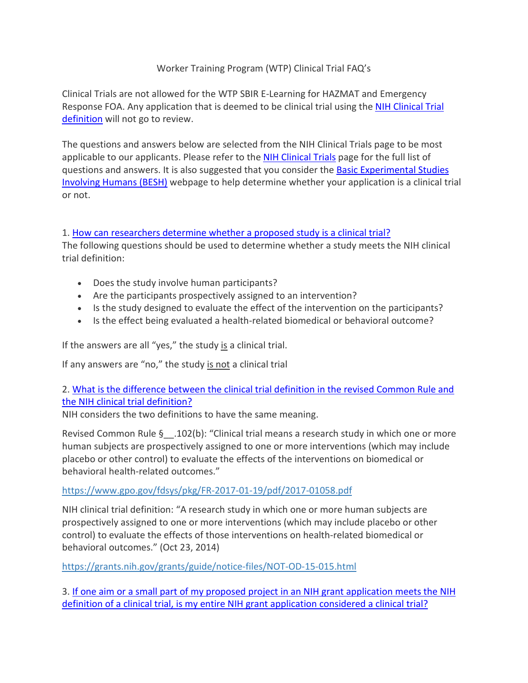#### Worker Training Program (WTP) Clinical Trial FAQ's

Clinical Trials are not allowed for the WTP SBIR E-Learning for HAZMAT and Emergency Response FOA. Any application that is deemed to be clinical trial using the [NIH Clinical Trial](https://grants.nih.gov/policy/clinical-trials/definition.htm)  [definition](https://grants.nih.gov/policy/clinical-trials/definition.htm) will not go to review.

The questions and answers below are selected from the NIH Clinical Trials page to be most applicable to our applicants. Please refer to the [NIH Clinical Trials](https://grants.nih.gov/faqs#/clinical-trial-definition.htm?anchor=question54897) page for the full list of questions and answers. It is also suggested that you consider the [Basic Experimental Studies](https://grants.nih.gov/policy/clinical-trials/besh.htm#answering)  [Involving Humans \(BESH\)](https://grants.nih.gov/policy/clinical-trials/besh.htm#answering) webpage to help determine whether your application is a clinical trial or not.

#### 1. [How can researchers determine whether a proposed study is a clinical trial?](https://grants.nih.gov/faqs#/clinical-trial-definition.htm?anchor=question54897)

The following questions should be used to determine whether a study meets the NIH clinical trial definition:

- Does the study involve human participants?
- Are the participants prospectively assigned to an intervention?
- Is the study designed to evaluate the effect of the intervention on the participants?
- Is the effect being evaluated a health-related biomedical or behavioral outcome?

If the answers are all "yes," the study is a clinical trial.

If any answers are "no," the study is not a clinical trial

2. [What is the difference between the clinical trial definition in the revised Common Rule and](https://grants.nih.gov/faqs#/clinical-trial-definition.htm?anchor=question54899)  [the NIH clinical trial definition?](https://grants.nih.gov/faqs#/clinical-trial-definition.htm?anchor=question54899)

NIH considers the two definitions to have the same meaning.

Revised Common Rule §\_\_.102(b): "Clinical trial means a research study in which one or more human subjects are prospectively assigned to one or more interventions (which may include placebo or other control) to evaluate the effects of the interventions on biomedical or behavioral health-related outcomes."

#### <https://www.gpo.gov/fdsys/pkg/FR-2017-01-19/pdf/2017-01058.pdf>

NIH clinical trial definition: "A research study in which one or more human subjects are prospectively assigned to one or more interventions (which may include placebo or other control) to evaluate the effects of those interventions on health-related biomedical or behavioral outcomes." (Oct 23, 2014)

<https://grants.nih.gov/grants/guide/notice-files/NOT-OD-15-015.html>

3. If [one aim or a small part of my proposed project in an NIH grant application meets the NIH](https://grants.nih.gov/faqs#/clinical-trial-definition.htm?anchor=question56498)  [definition of a clinical trial, is my entire NIH grant application considered a clinical trial?](https://grants.nih.gov/faqs#/clinical-trial-definition.htm?anchor=question56498)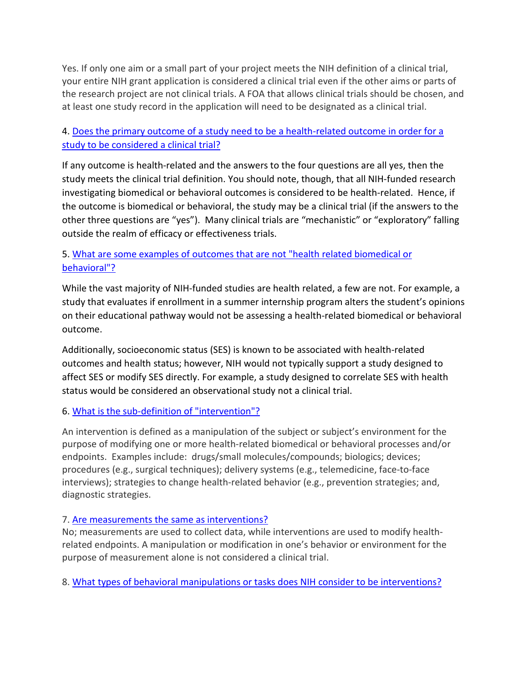Yes. If only one aim or a small part of your project meets the NIH definition of a clinical trial, your entire NIH grant application is considered a clinical trial even if the other aims or parts of the research project are not clinical trials. A FOA that allows clinical trials should be chosen, and at least one study record in the application will need to be designated as a clinical trial.

# 4. [Does the primary outcome of a study need to be a health-related outcome in order for](https://grants.nih.gov/faqs#/clinical-trial-definition.htm?anchor=question54898) a [study to be considered a clinical trial?](https://grants.nih.gov/faqs#/clinical-trial-definition.htm?anchor=question54898)

If any outcome is health-related and the answers to the four questions are all yes, then the study meets the clinical trial definition. You should note, though, that all NIH-funded research investigating biomedical or behavioral outcomes is considered to be health-related. Hence, if the outcome is biomedical or behavioral, the study may be a clinical trial (if the answers to the other three questions are "yes"). Many clinical trials are "mechanistic" or "exploratory" falling outside the realm of efficacy or effectiveness trials.

# 5. [What are some examples of outcomes that are not "health related biomedical or](https://grants.nih.gov/faqs#/clinical-trial-definition.htm?anchor=question55086)  [behavioral"?](https://grants.nih.gov/faqs#/clinical-trial-definition.htm?anchor=question55086)

While the vast majority of NIH-funded studies are health related, a few are not. For example, a study that evaluates if enrollment in a summer internship program alters the student's opinions on their educational pathway would not be assessing a health-related biomedical or behavioral outcome.

Additionally, socioeconomic status (SES) is known to be associated with health-related outcomes and health status; however, NIH would not typically support a study designed to affect SES or modify SES directly. For example, a study designed to correlate SES with health status would be considered an observational study not a clinical trial.

#### 6. [What is the sub-definition of "intervention"?](https://grants.nih.gov/faqs#/clinical-trial-definition.htm?anchor=question54901)

An intervention is defined as a manipulation of the subject or subject's environment for the purpose of modifying one or more health-related biomedical or behavioral processes and/or endpoints. Examples include: drugs/small molecules/compounds; biologics; devices; procedures (e.g., surgical techniques); delivery systems (e.g., telemedicine, face-to-face interviews); strategies to change health-related behavior (e.g., prevention strategies; and, diagnostic strategies.

# 7. [Are measurements the same as interventions?](https://grants.nih.gov/faqs#/clinical-trial-definition.htm?anchor=question54902)

No; measurements are used to collect data, while interventions are used to modify healthrelated endpoints. A manipulation or modification in one's behavior or environment for the purpose of measurement alone is not considered a clinical trial.

8. [What types of behavioral manipulations or tasks does NIH consider to be interventions?](https://grants.nih.gov/faqs#/clinical-trial-definition.htm?anchor=question54903)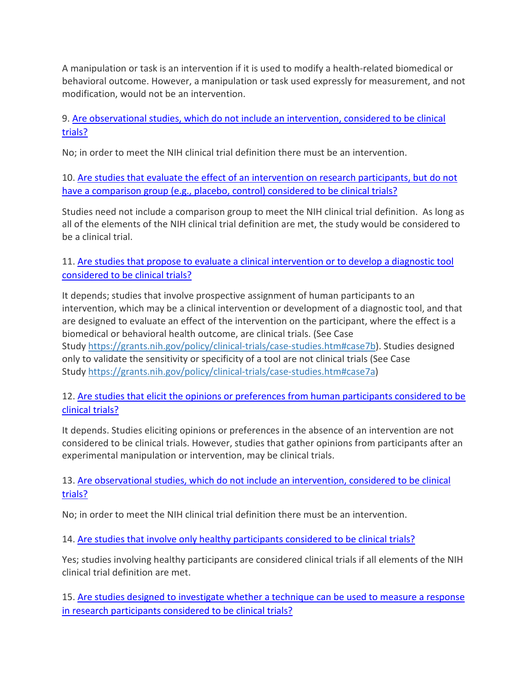A manipulation or task is an intervention if it is used to modify a health-related biomedical or behavioral outcome. However, a manipulation or task used expressly for measurement, and not modification, would not be an intervention.

9. [Are observational studies, which do not include an intervention, considered to be clinical](https://grants.nih.gov/faqs#/clinical-trial-definition.htm?anchor=question54908)  [trials?](https://grants.nih.gov/faqs#/clinical-trial-definition.htm?anchor=question54908)

No; in order to meet the NIH clinical trial definition there must be an intervention.

10. [Are studies that evaluate the effect of an intervention on research participants, but do not](https://grants.nih.gov/faqs#/clinical-trial-definition.htm?anchor=question54920)  [have a comparison group \(e.g., placebo, control\) considered to be clinical trials?](https://grants.nih.gov/faqs#/clinical-trial-definition.htm?anchor=question54920)

Studies need not include a comparison group to meet the NIH clinical trial definition. As long as all of the elements of the NIH clinical trial definition are met, the study would be considered to be a clinical trial.

### 11. [Are studies that propose to evaluate a clinical intervention or to develop a diagnostic tool](https://grants.nih.gov/faqs#/clinical-trial-definition.htm?anchor=question54906)  [considered to be clinical trials?](https://grants.nih.gov/faqs#/clinical-trial-definition.htm?anchor=question54906)

It depends; studies that involve prospective assignment of human participants to an intervention, which may be a clinical intervention or development of a diagnostic tool, and that are designed to evaluate an effect of the intervention on the participant, where the effect is a biomedical or behavioral health outcome, are clinical trials. (See Case Study [https://grants.nih.gov/policy/clinical-trials/case-studies.htm#case7b\)](https://grants.nih.gov/policy/clinical-trials/case-studies.htm#case7b). Studies designed only to validate the sensitivity or specificity of a tool are not clinical trials (See Case Study [https://grants.nih.gov/policy/clinical-trials/case-studies.htm#case7a\)](https://grants.nih.gov/policy/clinical-trials/case-studies.htm#case7a)

12. [Are studies that elicit the opinions or preferences from human participants considered to be](https://grants.nih.gov/faqs#/clinical-trial-definition.htm?anchor=question54907)  [clinical trials?](https://grants.nih.gov/faqs#/clinical-trial-definition.htm?anchor=question54907)

It depends. Studies eliciting opinions or preferences in the absence of an intervention are not considered to be clinical trials. However, studies that gather opinions from participants after an experimental manipulation or intervention, may be clinical trials.

13. [Are observational studies, which do not include an intervention, considered to be clinical](https://grants.nih.gov/faqs#/clinical-trial-definition.htm?anchor=question54908)  [trials?](https://grants.nih.gov/faqs#/clinical-trial-definition.htm?anchor=question54908)

No; in order to meet the NIH clinical trial definition there must be an intervention.

14. [Are studies that involve only healthy participants considered to be clinical trials?](https://grants.nih.gov/faqs#/clinical-trial-definition.htm?anchor=question54909)

Yes; studies involving healthy participants are considered clinical trials if all elements of the NIH clinical trial definition are met.

15. [Are studies designed to investigate whether a technique can be used to measure a response](https://grants.nih.gov/faqs#/clinical-trial-definition.htm?anchor=question54911)  [in research participants considered to be clinical trials?](https://grants.nih.gov/faqs#/clinical-trial-definition.htm?anchor=question54911)